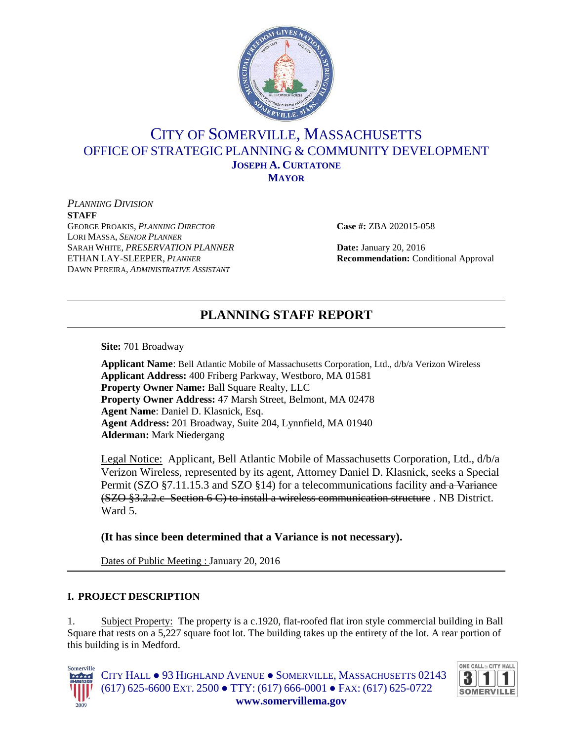

# CITY OF SOMERVILLE, MASSACHUSETTS OFFICE OF STRATEGIC PLANNING & COMMUNITY DEVELOPMENT **JOSEPH A. CURTATONE MAYOR**

*PLANNING DIVISION* **STAFF** GEORGE PROAKIS, *PLANNING DIRECTOR* **Case #:** ZBA 202015-058 LORI MASSA, *SENIOR PLANNER* SARAH WHITE, *PRESERVATION PLANNER* **Date:** January 20, 2016 ETHAN LAY-SLEEPER, *PLANNER* **Recommendation:** Conditional Approval DAWN PEREIRA, *ADMINISTRATIVE ASSISTANT*

# **PLANNING STAFF REPORT**

**Site:** 701 Broadway

**Applicant Name**: Bell Atlantic Mobile of Massachusetts Corporation, Ltd., d/b/a Verizon Wireless **Applicant Address:** 400 Friberg Parkway, Westboro, MA 01581 **Property Owner Name:** Ball Square Realty, LLC **Property Owner Address:** 47 Marsh Street, Belmont, MA 02478 **Agent Name**: Daniel D. Klasnick, Esq. **Agent Address:** 201 Broadway, Suite 204, Lynnfield, MA 01940 **Alderman:** Mark Niedergang

Legal Notice: Applicant, Bell Atlantic Mobile of Massachusetts Corporation, Ltd., d/b/a Verizon Wireless, represented by its agent, Attorney Daniel D. Klasnick, seeks a Special Permit (SZO §7.11.15.3 and SZO §14) for a telecommunications facility and a Variance (SZO §3.2.2.c Section 6 C) to install a wireless communication structure . NB District. Ward 5.

**(It has since been determined that a Variance is not necessary).**

Dates of Public Meeting : January 20, 2016

## **I. PROJECT DESCRIPTION**

1. Subject Property: The property is a c.1920, flat-roofed flat iron style commercial building in Ball Square that rests on a 5,227 square foot lot. The building takes up the entirety of the lot. A rear portion of this building is in Medford.



CITY HALL ● 93 HIGHLAND AVENUE ● SOMERVILLE, MASSACHUSETTS 02143 (617) 625-6600 EXT. 2500 ● TTY: (617) 666-0001 ● FAX: (617) 625-0722 **www.somervillema.gov**

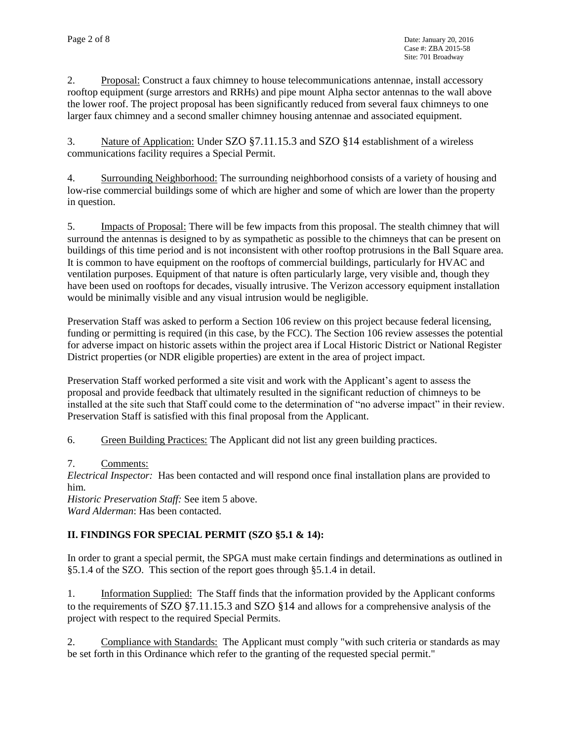2. Proposal: Construct a faux chimney to house telecommunications antennae, install accessory rooftop equipment (surge arrestors and RRHs) and pipe mount Alpha sector antennas to the wall above the lower roof. The project proposal has been significantly reduced from several faux chimneys to one larger faux chimney and a second smaller chimney housing antennae and associated equipment.

3. Nature of Application: Under SZO §7.11.15.3 and SZO §14 establishment of a wireless communications facility requires a Special Permit.

4. Surrounding Neighborhood: The surrounding neighborhood consists of a variety of housing and low-rise commercial buildings some of which are higher and some of which are lower than the property in question.

5. Impacts of Proposal: There will be few impacts from this proposal. The stealth chimney that will surround the antennas is designed to by as sympathetic as possible to the chimneys that can be present on buildings of this time period and is not inconsistent with other rooftop protrusions in the Ball Square area. It is common to have equipment on the rooftops of commercial buildings, particularly for HVAC and ventilation purposes. Equipment of that nature is often particularly large, very visible and, though they have been used on rooftops for decades, visually intrusive. The Verizon accessory equipment installation would be minimally visible and any visual intrusion would be negligible.

Preservation Staff was asked to perform a Section 106 review on this project because federal licensing, funding or permitting is required (in this case, by the FCC). The Section 106 review assesses the potential for adverse impact on historic assets within the project area if Local Historic District or National Register District properties (or NDR eligible properties) are extent in the area of project impact.

Preservation Staff worked performed a site visit and work with the Applicant's agent to assess the proposal and provide feedback that ultimately resulted in the significant reduction of chimneys to be installed at the site such that Staff could come to the determination of "no adverse impact" in their review. Preservation Staff is satisfied with this final proposal from the Applicant.

6. Green Building Practices: The Applicant did not list any green building practices.

#### 7. Comments:

*Electrical Inspector:* Has been contacted and will respond once final installation plans are provided to him.

*Historic Preservation Staff:* See item 5 above. *Ward Alderman*: Has been contacted.

#### **II. FINDINGS FOR SPECIAL PERMIT (SZO §5.1 & 14):**

In order to grant a special permit, the SPGA must make certain findings and determinations as outlined in §5.1.4 of the SZO. This section of the report goes through §5.1.4 in detail.

1. Information Supplied: The Staff finds that the information provided by the Applicant conforms to the requirements of SZO §7.11.15.3 and SZO §14 and allows for a comprehensive analysis of the project with respect to the required Special Permits.

2. Compliance with Standards: The Applicant must comply "with such criteria or standards as may be set forth in this Ordinance which refer to the granting of the requested special permit."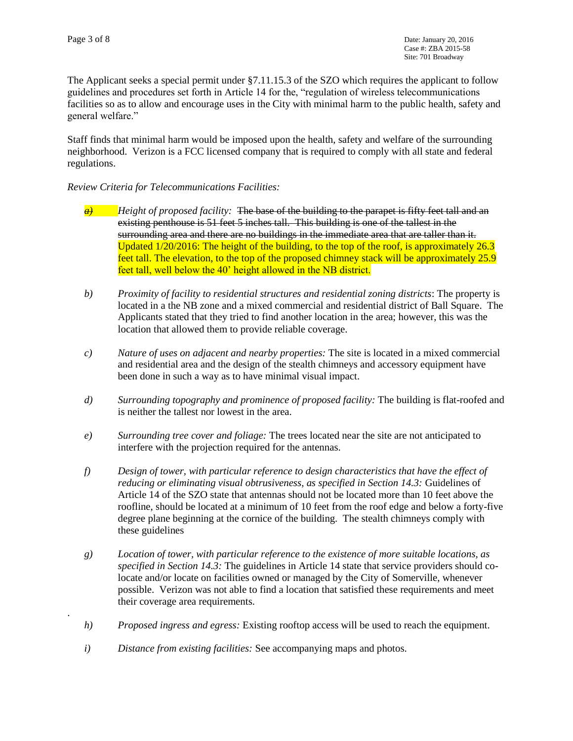.

The Applicant seeks a special permit under §7.11.15.3 of the SZO which requires the applicant to follow guidelines and procedures set forth in Article 14 for the, "regulation of wireless telecommunications facilities so as to allow and encourage uses in the City with minimal harm to the public health, safety and general welfare."

Staff finds that minimal harm would be imposed upon the health, safety and welfare of the surrounding neighborhood. Verizon is a FCC licensed company that is required to comply with all state and federal regulations.

#### *Review Criteria for Telecommunications Facilities:*

- *a) Height of proposed facility:* The base of the building to the parapet is fifty feet tall and an existing penthouse is 51 feet 5 inches tall. This building is one of the tallest in the surrounding area and there are no buildings in the immediate area that are taller than it. Updated  $1/20/2016$ : The height of the building, to the top of the roof, is approximately 26.3 feet tall. The elevation, to the top of the proposed chimney stack will be approximately 25.9 feet tall, well below the 40' height allowed in the NB district.
- *b) Proximity of facility to residential structures and residential zoning districts*: The property is located in a the NB zone and a mixed commercial and residential district of Ball Square. The Applicants stated that they tried to find another location in the area; however, this was the location that allowed them to provide reliable coverage.
- *c) Nature of uses on adjacent and nearby properties:* The site is located in a mixed commercial and residential area and the design of the stealth chimneys and accessory equipment have been done in such a way as to have minimal visual impact.
- *d) Surrounding topography and prominence of proposed facility:* The building is flat-roofed and is neither the tallest nor lowest in the area.
- *e) Surrounding tree cover and foliage:* The trees located near the site are not anticipated to interfere with the projection required for the antennas.
- *f) Design of tower, with particular reference to design characteristics that have the effect of reducing or eliminating visual obtrusiveness, as specified in Section 14.3:* Guidelines of Article 14 of the SZO state that antennas should not be located more than 10 feet above the roofline, should be located at a minimum of 10 feet from the roof edge and below a forty-five degree plane beginning at the cornice of the building. The stealth chimneys comply with these guidelines
- *g) Location of tower, with particular reference to the existence of more suitable locations, as specified in Section 14.3:* The guidelines in Article 14 state that service providers should colocate and/or locate on facilities owned or managed by the City of Somerville, whenever possible. Verizon was not able to find a location that satisfied these requirements and meet their coverage area requirements.
- *h) Proposed ingress and egress:* Existing rooftop access will be used to reach the equipment.
- *i) Distance from existing facilities:* See accompanying maps and photos.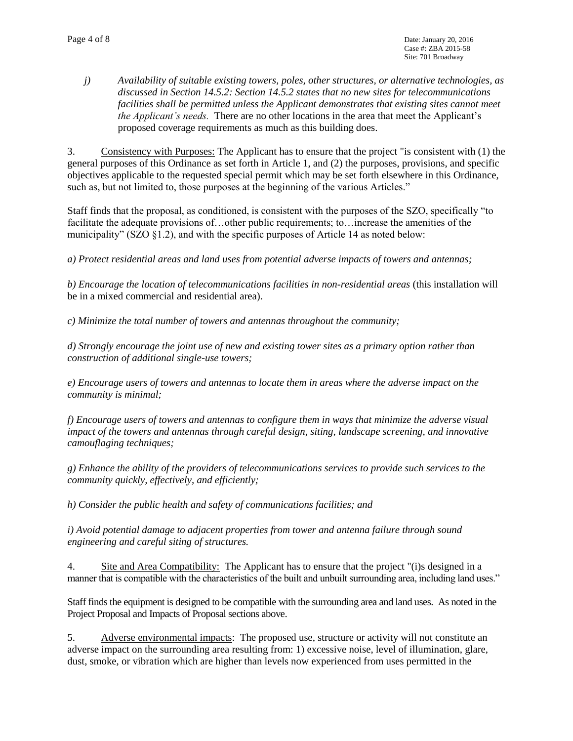*j) Availability of suitable existing towers, poles, other structures, or alternative technologies, as discussed in Section 14.5.2: Section 14.5.2 states that no new sites for telecommunications facilities shall be permitted unless the Applicant demonstrates that existing sites cannot meet the Applicant's needs.* There are no other locations in the area that meet the Applicant's proposed coverage requirements as much as this building does.

3. Consistency with Purposes: The Applicant has to ensure that the project "is consistent with (1) the general purposes of this Ordinance as set forth in Article 1, and (2) the purposes, provisions, and specific objectives applicable to the requested special permit which may be set forth elsewhere in this Ordinance, such as, but not limited to, those purposes at the beginning of the various Articles."

Staff finds that the proposal, as conditioned, is consistent with the purposes of the SZO, specifically "to facilitate the adequate provisions of…other public requirements; to…increase the amenities of the municipality" ( $SZO$   $\S1.2$ ), and with the specific purposes of Article 14 as noted below:

*a) Protect residential areas and land uses from potential adverse impacts of towers and antennas;*

*b) Encourage the location of telecommunications facilities in non-residential areas* (this installation will be in a mixed commercial and residential area).

*c) Minimize the total number of towers and antennas throughout the community;*

*d) Strongly encourage the joint use of new and existing tower sites as a primary option rather than construction of additional single-use towers;* 

*e) Encourage users of towers and antennas to locate them in areas where the adverse impact on the community is minimal;*

*f) Encourage users of towers and antennas to configure them in ways that minimize the adverse visual impact of the towers and antennas through careful design, siting, landscape screening, and innovative camouflaging techniques;* 

*g) Enhance the ability of the providers of telecommunications services to provide such services to the community quickly, effectively, and efficiently;* 

*h) Consider the public health and safety of communications facilities; and*

*i) Avoid potential damage to adjacent properties from tower and antenna failure through sound engineering and careful siting of structures.* 

4. Site and Area Compatibility: The Applicant has to ensure that the project "(i)s designed in a manner that is compatible with the characteristics of the built and unbuilt surrounding area, including land uses."

Staff finds the equipment is designed to be compatible with the surrounding area and land uses. As noted in the Project Proposal and Impacts of Proposal sections above.

5. Adverse environmental impacts: The proposed use, structure or activity will not constitute an adverse impact on the surrounding area resulting from: 1) excessive noise, level of illumination, glare, dust, smoke, or vibration which are higher than levels now experienced from uses permitted in the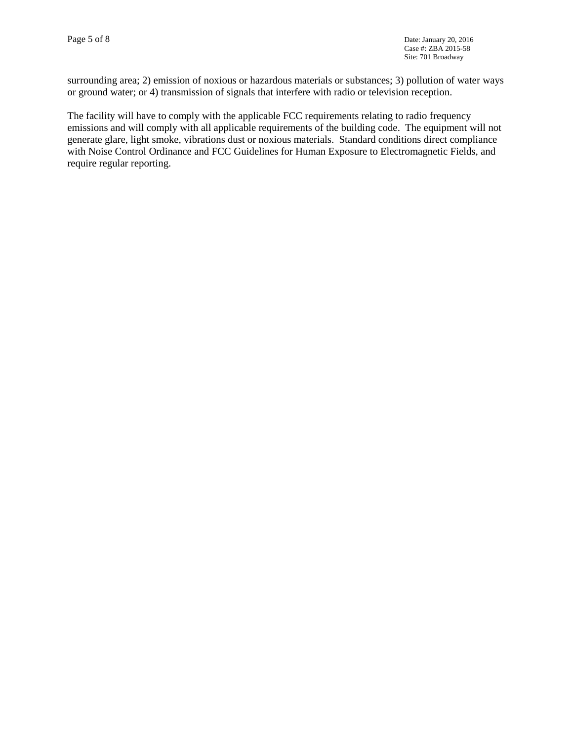surrounding area; 2) emission of noxious or hazardous materials or substances; 3) pollution of water ways or ground water; or 4) transmission of signals that interfere with radio or television reception.

The facility will have to comply with the applicable FCC requirements relating to radio frequency emissions and will comply with all applicable requirements of the building code. The equipment will not generate glare, light smoke, vibrations dust or noxious materials. Standard conditions direct compliance with Noise Control Ordinance and FCC Guidelines for Human Exposure to Electromagnetic Fields, and require regular reporting.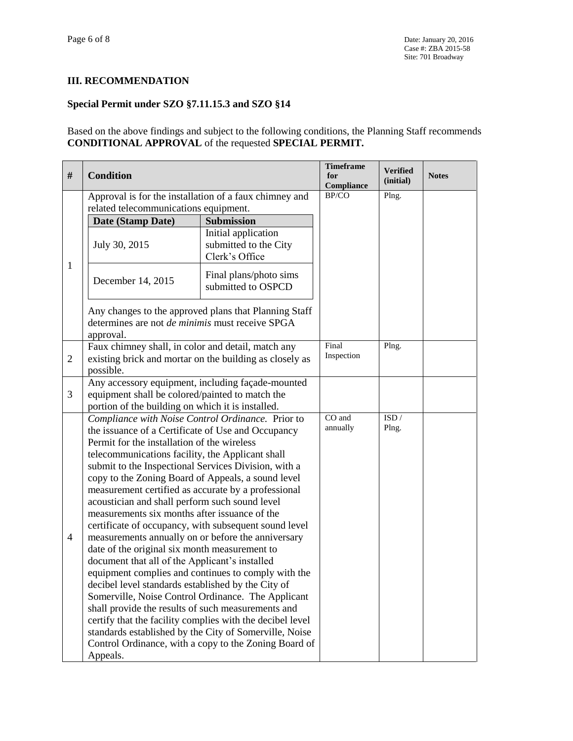#### **III. RECOMMENDATION**

### **Special Permit under SZO §7.11.15.3 and SZO §14**

Based on the above findings and subject to the following conditions, the Planning Staff recommends **CONDITIONAL APPROVAL** of the requested **SPECIAL PERMIT.**

| #              | <b>Condition</b>                                                                                                             |                                                                | <b>Timeframe</b><br>for<br>Compliance | <b>Verified</b><br>(initial) | <b>Notes</b> |
|----------------|------------------------------------------------------------------------------------------------------------------------------|----------------------------------------------------------------|---------------------------------------|------------------------------|--------------|
| $\mathbf{1}$   | Approval is for the installation of a faux chimney and                                                                       |                                                                | BP/CO                                 | Plng.                        |              |
|                | related telecommunications equipment.<br>Submission                                                                          |                                                                |                                       |                              |              |
|                | Date (Stamp Date)                                                                                                            |                                                                |                                       |                              |              |
|                | July 30, 2015                                                                                                                | Initial application<br>submitted to the City<br>Clerk's Office |                                       |                              |              |
|                | December 14, 2015                                                                                                            | Final plans/photo sims<br>submitted to OSPCD                   |                                       |                              |              |
|                | Any changes to the approved plans that Planning Staff<br>determines are not <i>de minimis</i> must receive SPGA<br>approval. |                                                                |                                       |                              |              |
| 2              | Faux chimney shall, in color and detail, match any<br>existing brick and mortar on the building as closely as<br>possible.   |                                                                | Final<br>Inspection                   | Plng.                        |              |
|                | Any accessory equipment, including façade-mounted                                                                            |                                                                |                                       |                              |              |
| 3              | equipment shall be colored/painted to match the                                                                              |                                                                |                                       |                              |              |
|                | portion of the building on which it is installed.                                                                            |                                                                |                                       |                              |              |
|                | Compliance with Noise Control Ordinance. Prior to                                                                            |                                                                | CO and                                | ISD/                         |              |
|                | the issuance of a Certificate of Use and Occupancy                                                                           |                                                                | annually                              | Plng.                        |              |
|                | Permit for the installation of the wireless                                                                                  |                                                                |                                       |                              |              |
|                | telecommunications facility, the Applicant shall                                                                             |                                                                |                                       |                              |              |
|                | submit to the Inspectional Services Division, with a                                                                         |                                                                |                                       |                              |              |
|                | copy to the Zoning Board of Appeals, a sound level                                                                           |                                                                |                                       |                              |              |
|                | measurement certified as accurate by a professional                                                                          |                                                                |                                       |                              |              |
|                | acoustician and shall perform such sound level                                                                               |                                                                |                                       |                              |              |
|                | measurements six months after issuance of the                                                                                |                                                                |                                       |                              |              |
|                | certificate of occupancy, with subsequent sound level                                                                        |                                                                |                                       |                              |              |
| $\overline{4}$ | measurements annually on or before the anniversary                                                                           |                                                                |                                       |                              |              |
|                | date of the original six month measurement to                                                                                |                                                                |                                       |                              |              |
|                | document that all of the Applicant's installed                                                                               |                                                                |                                       |                              |              |
|                | equipment complies and continues to comply with the                                                                          |                                                                |                                       |                              |              |
|                | decibel level standards established by the City of                                                                           |                                                                |                                       |                              |              |
|                | Somerville, Noise Control Ordinance. The Applicant                                                                           |                                                                |                                       |                              |              |
|                | shall provide the results of such measurements and                                                                           |                                                                |                                       |                              |              |
|                | certify that the facility complies with the decibel level                                                                    |                                                                |                                       |                              |              |
|                | standards established by the City of Somerville, Noise                                                                       |                                                                |                                       |                              |              |
|                | Control Ordinance, with a copy to the Zoning Board of                                                                        |                                                                |                                       |                              |              |
|                | Appeals.                                                                                                                     |                                                                |                                       |                              |              |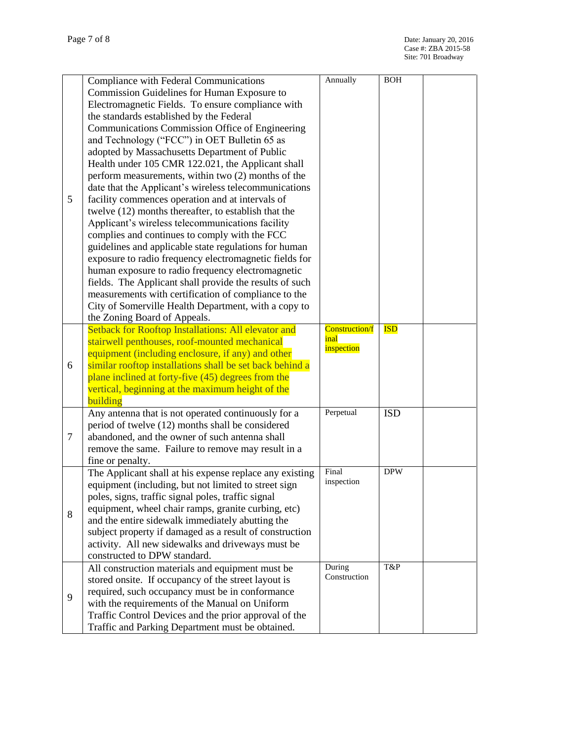|   | Compliance with Federal Communications                   | Annually               | <b>BOH</b> |  |
|---|----------------------------------------------------------|------------------------|------------|--|
| 5 | Commission Guidelines for Human Exposure to              |                        |            |  |
|   | Electromagnetic Fields. To ensure compliance with        |                        |            |  |
|   | the standards established by the Federal                 |                        |            |  |
|   | Communications Commission Office of Engineering          |                        |            |  |
|   | and Technology ("FCC") in OET Bulletin 65 as             |                        |            |  |
|   | adopted by Massachusetts Department of Public            |                        |            |  |
|   | Health under 105 CMR 122.021, the Applicant shall        |                        |            |  |
|   | perform measurements, within two (2) months of the       |                        |            |  |
|   | date that the Applicant's wireless telecommunications    |                        |            |  |
|   | facility commences operation and at intervals of         |                        |            |  |
|   | twelve (12) months thereafter, to establish that the     |                        |            |  |
|   |                                                          |                        |            |  |
|   | Applicant's wireless telecommunications facility         |                        |            |  |
|   | complies and continues to comply with the FCC            |                        |            |  |
|   | guidelines and applicable state regulations for human    |                        |            |  |
|   | exposure to radio frequency electromagnetic fields for   |                        |            |  |
|   | human exposure to radio frequency electromagnetic        |                        |            |  |
|   | fields. The Applicant shall provide the results of such  |                        |            |  |
|   | measurements with certification of compliance to the     |                        |            |  |
|   | City of Somerville Health Department, with a copy to     |                        |            |  |
|   | the Zoning Board of Appeals.                             |                        |            |  |
|   | Setback for Rooftop Installations: All elevator and      | <b>Construction/f</b>  | <b>ISD</b> |  |
|   | stairwell penthouses, roof-mounted mechanical            | inal<br>inspection     |            |  |
|   | equipment (including enclosure, if any) and other        |                        |            |  |
| 6 | similar rooftop installations shall be set back behind a |                        |            |  |
|   | plane inclined at forty-five (45) degrees from the       |                        |            |  |
|   | vertical, beginning at the maximum height of the         |                        |            |  |
|   | building                                                 |                        |            |  |
|   | Any antenna that is not operated continuously for a      | Perpetual              | <b>ISD</b> |  |
|   | period of twelve (12) months shall be considered         |                        |            |  |
| 7 | abandoned, and the owner of such antenna shall           |                        |            |  |
|   | remove the same. Failure to remove may result in a       |                        |            |  |
|   | fine or penalty.                                         |                        |            |  |
|   | The Applicant shall at his expense replace any existing  | Final                  | <b>DPW</b> |  |
|   | equipment (including, but not limited to street sign     | inspection             |            |  |
|   | poles, signs, traffic signal poles, traffic signal       |                        |            |  |
|   | equipment, wheel chair ramps, granite curbing, etc)      |                        |            |  |
| 8 | and the entire sidewalk immediately abutting the         |                        |            |  |
|   | subject property if damaged as a result of construction  |                        |            |  |
|   |                                                          |                        |            |  |
|   | activity. All new sidewalks and driveways must be        |                        |            |  |
|   | constructed to DPW standard.                             |                        | T&P        |  |
| 9 | All construction materials and equipment must be         | During<br>Construction |            |  |
|   | stored onsite. If occupancy of the street layout is      |                        |            |  |
|   | required, such occupancy must be in conformance          |                        |            |  |
|   | with the requirements of the Manual on Uniform           |                        |            |  |
|   | Traffic Control Devices and the prior approval of the    |                        |            |  |
|   | Traffic and Parking Department must be obtained.         |                        |            |  |